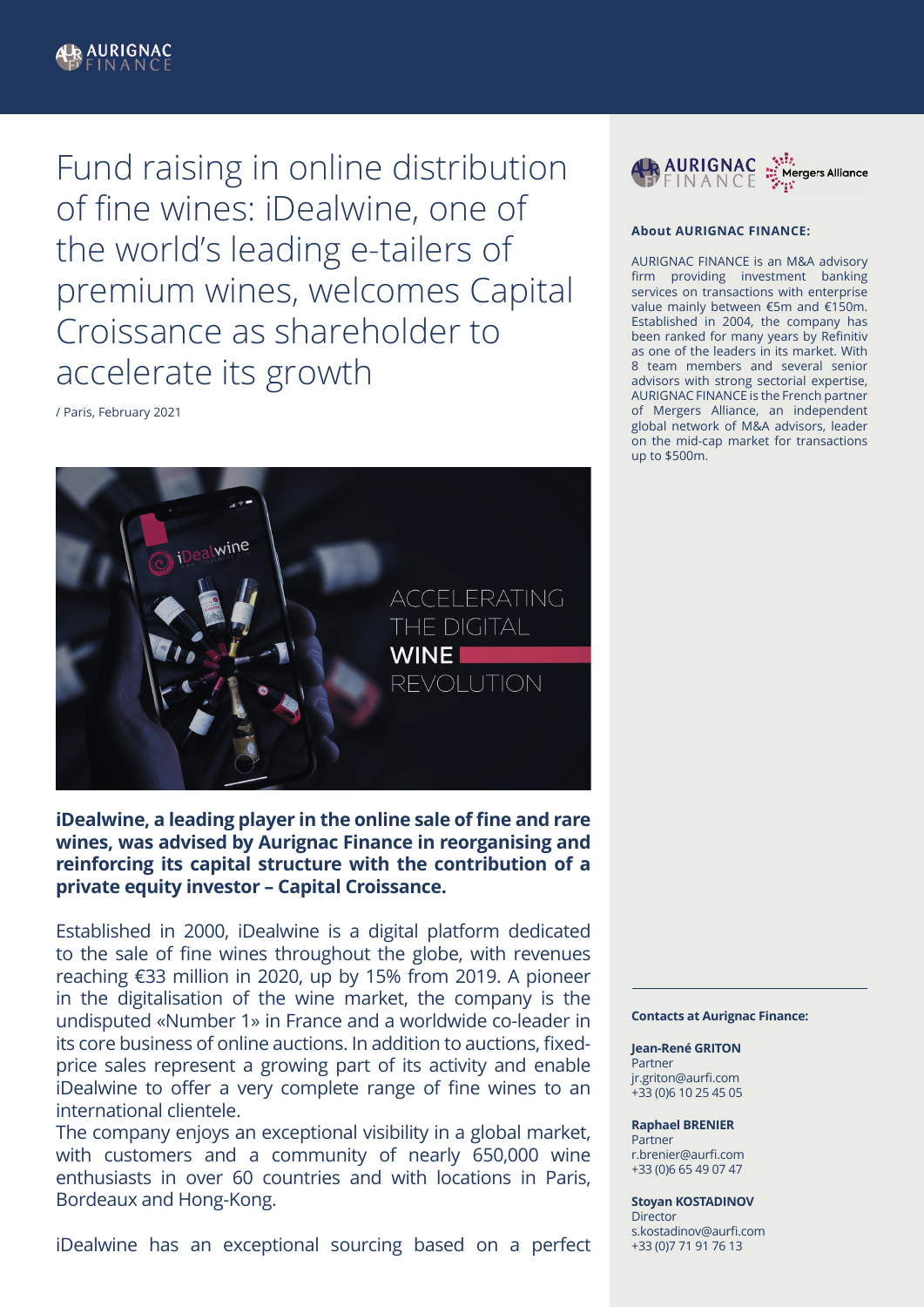

Fund raising in online distribution of fine wines: iDealwine, one of the world's leading e-tailers of premium wines, welcomes Capital Croissance as shareholder to accelerate its growth

/ Paris, February 2021



**iDealwine, a leading player in the online sale of fine and rare wines, was advised by Aurignac Finance in reorganising and reinforcing its capital structure with the contribution of a private equity investor – Capital Croissance.**

Established in 2000, iDealwine is a digital platform dedicated to the sale of fine wines throughout the globe, with revenues reaching €33 million in 2020, up by 15% from 2019. A pioneer in the digitalisation of the wine market, the company is the undisputed «Number 1» in France and a worldwide co-leader in its core business of online auctions. In addition to auctions, fixedprice sales represent a growing part of its activity and enable iDealwine to offer a very complete range of fine wines to an international clientele.

The company enjoys an exceptional visibility in a global market, with customers and a community of nearly 650,000 wine enthusiasts in over 60 countries and with locations in Paris, Bordeaux and Hong-Kong.

iDealwine has an exceptional sourcing based on a perfect



# **About AURIGNAC FINANCE:**

AURIGNAC FINANCE is an M&A advisory firm providing investment banking services on transactions with enterprise value mainly between €5m and €150m. Established in 2004, the company has been ranked for many years by Refinitiv as one of the leaders in its market. With 8 team members and several senior advisors with strong sectorial expertise, AURIGNAC FINANCE is the French partner of Mergers Alliance, an independent global network of M&A advisors, leader on the mid-cap market for transactions up to \$500m.

# **Contacts at Aurignac Finance:**

**Jean-René GRITON Partner** jr.griton@aurfi.com +33 (0)6 10 25 45 05

# **Raphael BRENIER**

Partner r.brenier@aurfi.com +33 (0)6 65 49 07 47

**Stoyan KOSTADINOV Director** s.kostadinov@aurfi.com +33 (0)7 71 91 76 13